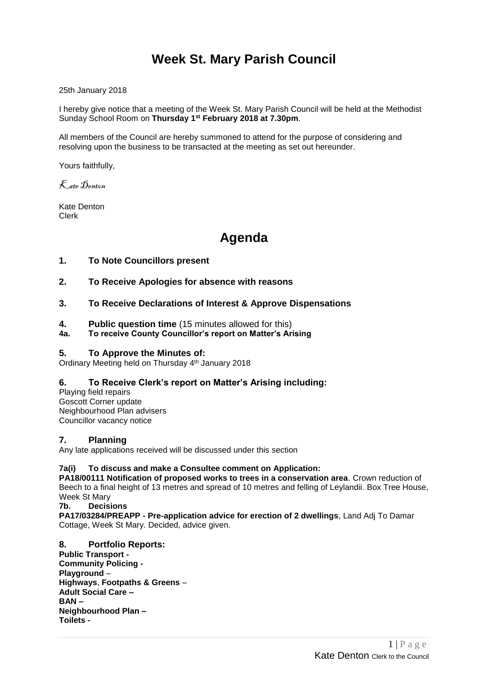# **Week St. Mary Parish Council**

25th January 2018

I hereby give notice that a meeting of the Week St. Mary Parish Council will be held at the Methodist Sunday School Room on **Thursday 1 st February 2018 at 7.30pm**.

All members of the Council are hereby summoned to attend for the purpose of considering and resolving upon the business to be transacted at the meeting as set out hereunder.

Yours faithfully,

Kate Denton

Kate Denton Clerk

## **Agenda**

- **1. To Note Councillors present**
- **2. To Receive Apologies for absence with reasons**
- **3. To Receive Declarations of Interest & Approve Dispensations**
- **4. Public question time** (15 minutes allowed for this)
- **4a. To receive County Councillor's report on Matter's Arising**

### **5. To Approve the Minutes of:**

Ordinary Meeting held on Thursday 4 th January 2018

### **6. To Receive Clerk's report on Matter's Arising including:**

Playing field repairs Goscott Corner update Neighbourhood Plan advisers Councillor vacancy notice

### **7. Planning**

Any late applications received will be discussed under this section

#### **7a(i) To discuss and make a Consultee comment on Application:**

**PA18/00111 Notification of proposed works to trees in a conservation area**. Crown reduction of Beech to a final height of 13 metres and spread of 10 metres and felling of Leylandii. Box Tree House, Week St Mary

**7b. Decisions**

**PA17/03284/PREAPP - Pre-application advice for erection of 2 dwellings**, Land Adj To Damar Cottage, Week St Mary. Decided, advice given.

**8. Portfolio Reports: Public Transport - Community Policing - Playground** – **Highways**, **Footpaths & Greens** – **Adult Social Care – BAN – Neighbourhood Plan – Toilets -**